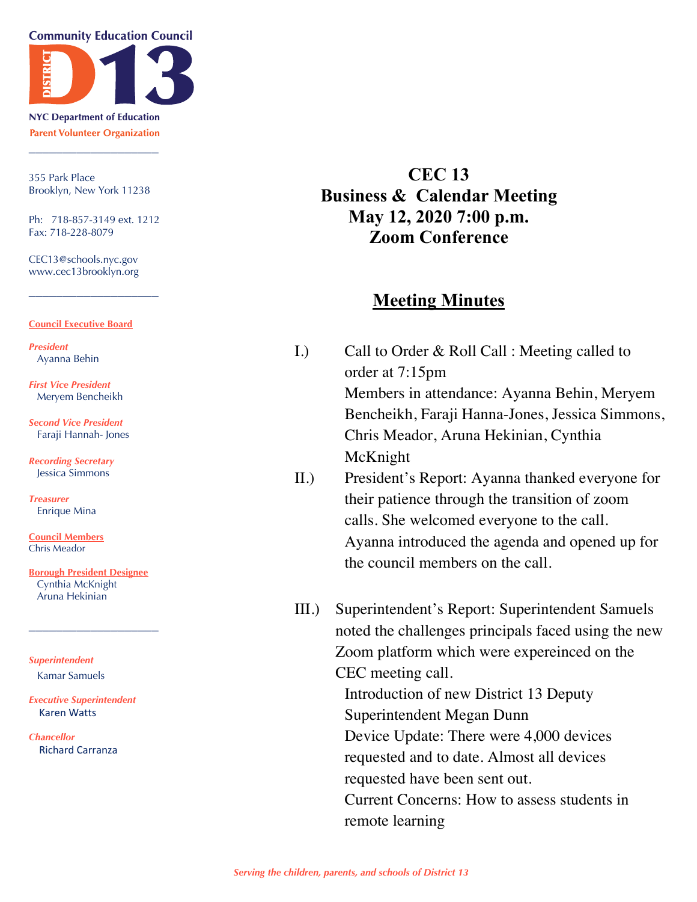**Community Education Council** 



**NYC Department of Education Parent Volunteer Organization** \_\_\_\_\_\_\_\_\_\_\_\_\_\_\_\_\_\_\_

355 Park Place Brooklyn, New York 11238

Ph: 718-857-3149 ext. 1212 Fax: 718-228-8079

\_\_\_\_\_\_\_\_\_\_\_\_\_\_\_\_\_\_\_

CEC13@schools.nyc.gov www.cec13brooklyn.org

#### **Council Executive Board**

*President* Ayanna Behin

*First Vice President* Meryem Bencheikh

*Second Vice President* Faraji Hannah- Jones

*Recording Secretary* Jessica Simmons

*Treasurer* Enrique Mina

**Council Members** Chris Meador

**Borough President Designee** Cynthia McKnight Aruna Hekinian

\_\_\_\_\_\_\_\_\_\_\_\_\_\_\_\_\_\_\_

*Superintendent* Kamar Samuels

*Executive Superintendent* Karen Watts

*Chancellor* Richard Carranza

## **CEC 13 Business & Calendar Meeting May 12, 2020 7:00 p.m. Zoom Conference**

### **Meeting Minutes**

- I.) Call to Order & Roll Call : Meeting called to order at 7:15pm Members in attendance: Ayanna Behin, Meryem Bencheikh, Faraji Hanna-Jones, Jessica Simmons, Chris Meador, Aruna Hekinian, Cynthia McKnight
- II.) President's Report: Ayanna thanked everyone for their patience through the transition of zoom calls. She welcomed everyone to the call. Ayanna introduced the agenda and opened up for the council members on the call.
- III.) Superintendent's Report: Superintendent Samuels noted the challenges principals faced using the new Zoom platform which were expereinced on the CEC meeting call. Introduction of new District 13 Deputy Superintendent Megan Dunn Device Update: There were 4,000 devices requested and to date. Almost all devices requested have been sent out. Current Concerns: How to assess students in remote learning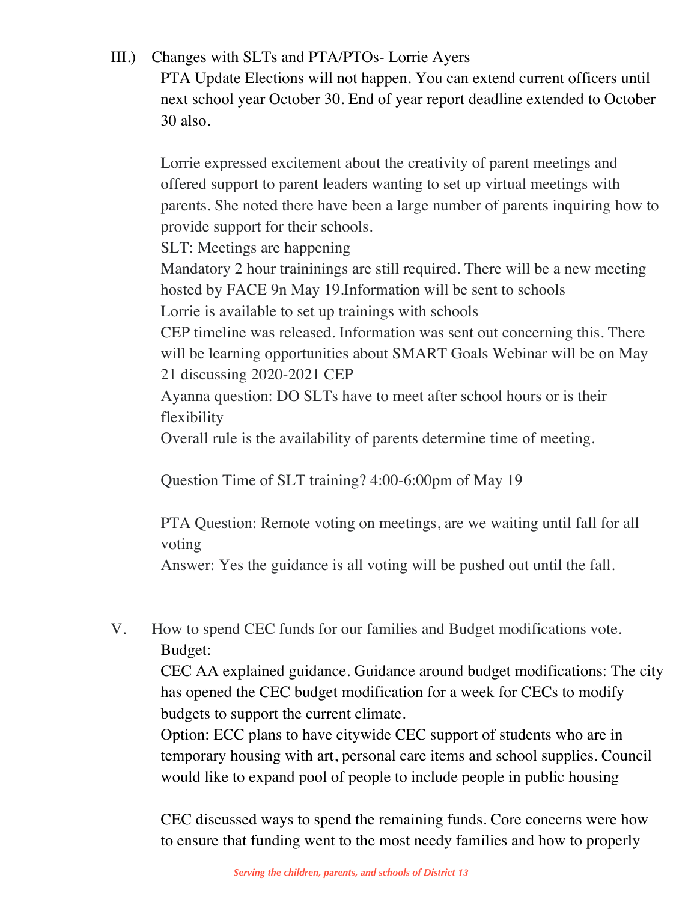## III.) Changes with SLTs and PTA/PTOs- Lorrie Ayers

PTA Update Elections will not happen. You can extend current officers until next school year October 30. End of year report deadline extended to October 30 also.

Lorrie expressed excitement about the creativity of parent meetings and offered support to parent leaders wanting to set up virtual meetings with parents. She noted there have been a large number of parents inquiring how to provide support for their schools.

SLT: Meetings are happening

Mandatory 2 hour traininings are still required. There will be a new meeting hosted by FACE 9n May 19.Information will be sent to schools Lorrie is available to set up trainings with schools

CEP timeline was released. Information was sent out concerning this. There will be learning opportunities about SMART Goals Webinar will be on May 21 discussing 2020-2021 CEP

Ayanna question: DO SLTs have to meet after school hours or is their flexibility

Overall rule is the availability of parents determine time of meeting.

Question Time of SLT training? 4:00-6:00pm of May 19

PTA Question: Remote voting on meetings, are we waiting until fall for all voting

Answer: Yes the guidance is all voting will be pushed out until the fall.

# V. How to spend CEC funds for our families and Budget modifications vote. Budget:

CEC AA explained guidance. Guidance around budget modifications: The city has opened the CEC budget modification for a week for CECs to modify budgets to support the current climate.

Option: ECC plans to have citywide CEC support of students who are in temporary housing with art, personal care items and school supplies. Council would like to expand pool of people to include people in public housing

CEC discussed ways to spend the remaining funds. Core concerns were how to ensure that funding went to the most needy families and how to properly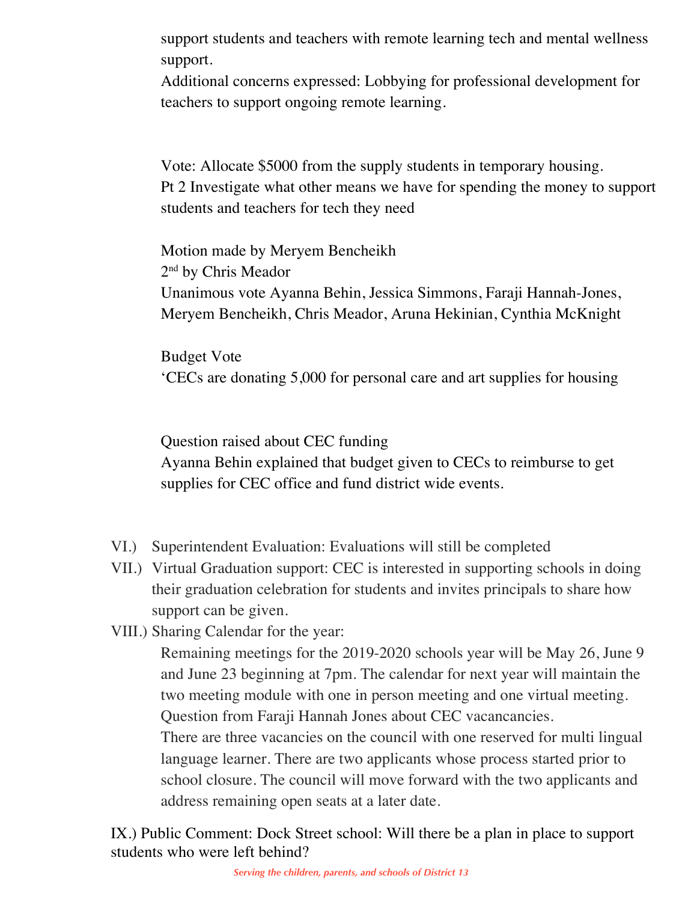support students and teachers with remote learning tech and mental wellness support.

Additional concerns expressed: Lobbying for professional development for teachers to support ongoing remote learning.

Vote: Allocate \$5000 from the supply students in temporary housing. Pt 2 Investigate what other means we have for spending the money to support students and teachers for tech they need

Motion made by Meryem Bencheikh 2<sup>nd</sup> by Chris Meador Unanimous vote Ayanna Behin, Jessica Simmons, Faraji Hannah-Jones, Meryem Bencheikh, Chris Meador, Aruna Hekinian, Cynthia McKnight

Budget Vote 'CECs are donating 5,000 for personal care and art supplies for housing

Question raised about CEC funding Ayanna Behin explained that budget given to CECs to reimburse to get supplies for CEC office and fund district wide events.

- VI.) Superintendent Evaluation: Evaluations will still be completed
- VII.) Virtual Graduation support: CEC is interested in supporting schools in doing their graduation celebration for students and invites principals to share how support can be given.
- VIII.) Sharing Calendar for the year:

Remaining meetings for the 2019-2020 schools year will be May 26, June 9 and June 23 beginning at 7pm. The calendar for next year will maintain the two meeting module with one in person meeting and one virtual meeting. Question from Faraji Hannah Jones about CEC vacancancies.

There are three vacancies on the council with one reserved for multi lingual language learner. There are two applicants whose process started prior to school closure. The council will move forward with the two applicants and address remaining open seats at a later date.

IX.) Public Comment: Dock Street school: Will there be a plan in place to support students who were left behind?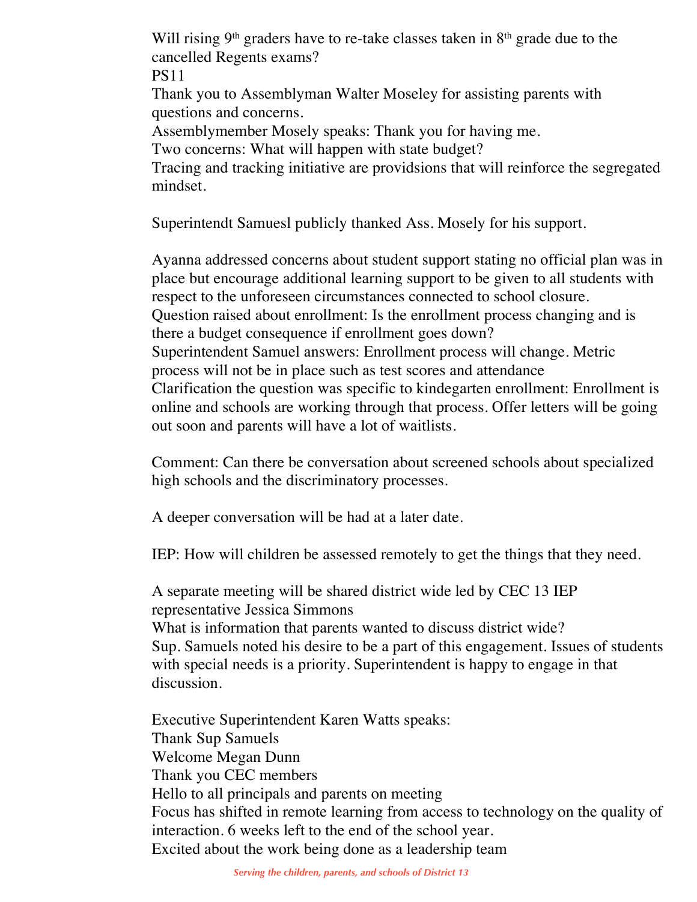Will rising  $9<sup>th</sup>$  graders have to re-take classes taken in  $8<sup>th</sup>$  grade due to the cancelled Regents exams?

PS11

Thank you to Assemblyman Walter Moseley for assisting parents with questions and concerns.

Assemblymember Mosely speaks: Thank you for having me.

Two concerns: What will happen with state budget?

Tracing and tracking initiative are providsions that will reinforce the segregated mindset.

Superintendt Samuesl publicly thanked Ass. Mosely for his support.

Ayanna addressed concerns about student support stating no official plan was in place but encourage additional learning support to be given to all students with respect to the unforeseen circumstances connected to school closure. Question raised about enrollment: Is the enrollment process changing and is there a budget consequence if enrollment goes down? Superintendent Samuel answers: Enrollment process will change. Metric process will not be in place such as test scores and attendance Clarification the question was specific to kindegarten enrollment: Enrollment is online and schools are working through that process. Offer letters will be going out soon and parents will have a lot of waitlists.

Comment: Can there be conversation about screened schools about specialized high schools and the discriminatory processes.

A deeper conversation will be had at a later date.

IEP: How will children be assessed remotely to get the things that they need.

A separate meeting will be shared district wide led by CEC 13 IEP representative Jessica Simmons

What is information that parents wanted to discuss district wide? Sup. Samuels noted his desire to be a part of this engagement. Issues of students with special needs is a priority. Superintendent is happy to engage in that discussion.

Executive Superintendent Karen Watts speaks: Thank Sup Samuels Welcome Megan Dunn Thank you CEC members Hello to all principals and parents on meeting Focus has shifted in remote learning from access to technology on the quality of interaction. 6 weeks left to the end of the school year. Excited about the work being done as a leadership team